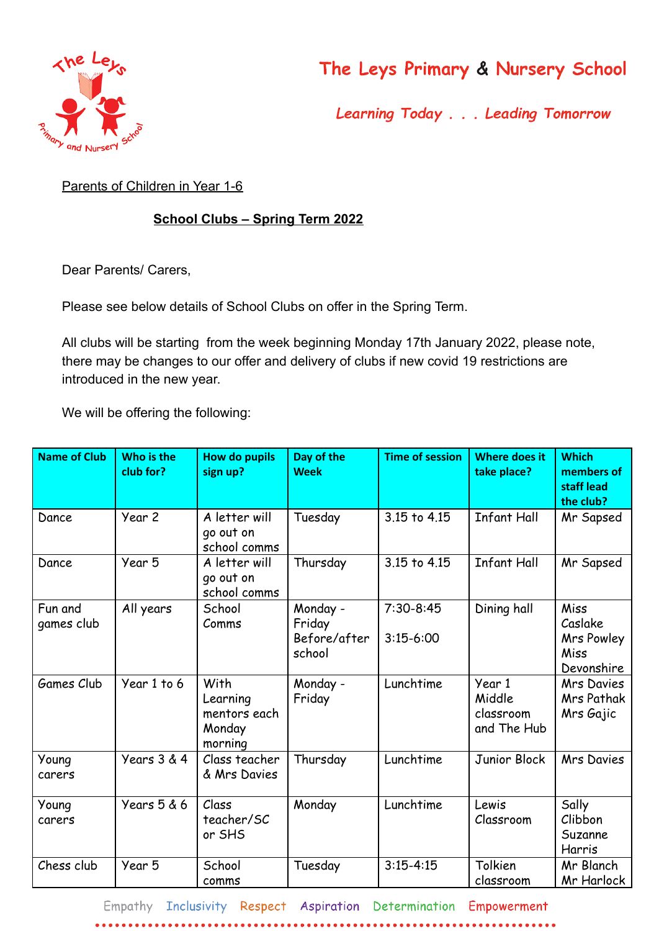

## The Leys Primary & Nursery School

Learning Today . . . Leading Tomorrow

Parents of Children in Year 1-6

## **School Clubs – Spring Term 2022**

Dear Parents/ Carers,

 $• •$ 

Please see below details of School Clubs on offer in the Spring Term.

All clubs will be starting from the week beginning Monday 17th January 2022, please note, there may be changes to our offer and delivery of clubs if new covid 19 restrictions are introduced in the new year.

We will be offering the following:

| <b>Name of Club</b>   | Who is the<br>club for? | <b>How do pupils</b><br>sign up?                      | Day of the<br><b>Week</b>                    | <b>Time of session</b>       | <b>Where does it</b><br>take place?          | <b>Which</b><br>members of<br>staff lead<br>the club? |
|-----------------------|-------------------------|-------------------------------------------------------|----------------------------------------------|------------------------------|----------------------------------------------|-------------------------------------------------------|
| Dance                 | Year 2                  | A letter will<br>go out on<br>school comms            | Tuesday                                      | 3.15 to 4.15                 | <b>Infant Hall</b>                           | Mr Sapsed                                             |
| Dance                 | Year 5                  | A letter will<br>go out on<br>school comms            | Thursday                                     | 3.15 to 4.15                 | <b>Infant Hall</b>                           | Mr Sapsed                                             |
| Fun and<br>games club | All years               | School<br>Comms                                       | Monday -<br>Friday<br>Before/after<br>school | $7:30-8:45$<br>$3:15 - 6:00$ | Dining hall                                  | Miss<br>Caslake<br>Mrs Powley<br>Miss<br>Devonshire   |
| <b>Games Club</b>     | Year 1 to 6             | With<br>Learning<br>mentors each<br>Monday<br>morning | Monday -<br>Friday                           | Lunchtime                    | Year 1<br>Middle<br>classroom<br>and The Hub | <b>Mrs Davies</b><br>Mrs Pathak<br>Mrs Gajic          |
| Young<br>carers       | Years 3 & 4             | Class teacher<br>& Mrs Davies                         | Thursday                                     | Lunchtime                    | Junior Block                                 | <b>Mrs Davies</b>                                     |
| Young<br>carers       | Years 5 & 6             | Class<br>teacher/SC<br>or SHS                         | Monday                                       | Lunchtime                    | Lewis<br>Classroom                           | Sally<br>Clibbon<br>Suzanne<br>Harris                 |
| Chess club            | Year 5                  | School<br>comms                                       | Tuesday                                      | $3:15 - 4:15$                | Tolkien<br>classroom                         | Mr Blanch<br>Mr Harlock                               |

Empathy Inclusivity Respect Aspiration Determination Empowerment

 $0 0 0 0 0 0 0 0$